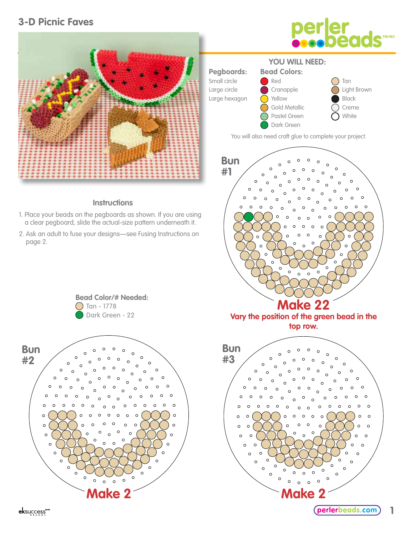# **3-D Picnic Faves**



#### **Instructions**

- 1. Place your beads on the pegboards as shown. If you are using a clear pegboard, slide the actual-size pattern underneath it.
- 2. Ask an adult to fuse your designs—see Fusing Instructions on page 2.





You will also need craft glue to complete your project.





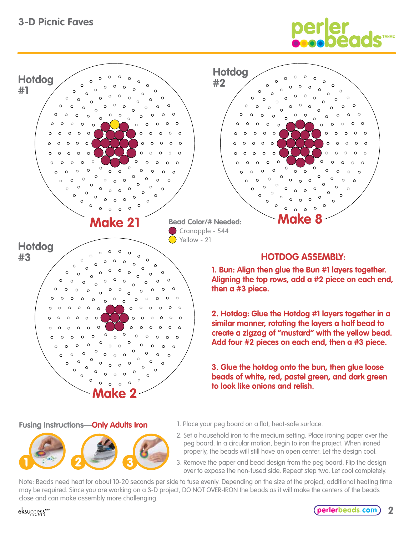# **3-D Picnic Faves**

 $\Omega$  $\circ$  $\circ$  $\circ$ 

 $\circ$  $\circ$  $\circ$  $\circ$  $\circ$ 

 $\Omega$ 

 $\Omega$ 

 $\circ$ 

 $\circ$ 

 $\Omega$ 

 $\circ$  $\circ$  $\circ$ 

 $\circ$  $\circ$  $\circ$ 

**Hotdog**

**#1**



 $\circ$ 

**Bead Color/# Needed:** Cranapple - 544  $\bigcap$  Yellow - 21

#### **HOTDOG ASSEMBLY:**

**Make 8**

 $\Omega$ 

 $\circ$  $\Omega$ 

**1. Bun: Align then glue the Bun #1 layers together. Aligning the top rows, add a #2 piece on each end, then a #3 piece.**

**2. Hotdog: Glue the Hotdog #1 layers together in a similar manner, rotating the layers a half bead to create a zigzag of "mustard" with the yellow bead. Add four #2 pieces on each end, then a #3 piece.**

**3. Glue the hotdog onto the bun, then glue loose beads of white, red, pastel green, and dark green to look like onions and relish.**

**Fusing Instructions—Only Adults Iron**



**Make 2**

**Make 21** 

 $\circ$ 

 $\circ$ 

 $\mathcal{C}$ 

 $\circ$ 

 $\Omega$ 

 $\Omega$  $\Omega$ 

 $\Omega$ 

 $\circ$  $\Omega$ 

 $\Omega$ 

 $\Omega$ 

 $\circ$ 

 $\circ$  $\circ$  $\circ$ 

 $\circ$ 

 $\mathsf{C}$ 

 $\Omega$  $\circ$ 

 $\Omega$ 

 $\circ$ 

 $\circ$ 

 $\Omega$ 

 $\circ$ 

 $\Omega$ 

 $\circ$  $\Omega$ 

- 1. Place your peg board on a flat, heat-safe surface.
- 2. Set a household iron to the medium setting. Place ironing paper over the peg board. In a circular motion, begin to iron the project. When ironed properly, the beads will still have an open center. Let the design cool.
- 3. Remove the paper and bead design from the peg board. Flip the design over to expose the non-fused side. Repeat step two. Let cool completely.

Note: Beads need heat for about 10-20 seconds per side to fuse evenly. Depending on the size of the project, additional heating time may be required. Since you are working on a 3-D project, DO NOT OVER-IRON the beads as it will make the centers of the beads close and can make assembly more challenging.

### eksuccess\*\*\*

**Hotdog**

 $\circ$  $\circ$ 

 $\circ$  $\circ$ 

 $\circ$  $\circ$ 

 $\Omega$  $\mathcal{C}$ 

 $\circ$ 

 $\sim$ 

 $\circ$ 

 $\Omega$ 

**#3**

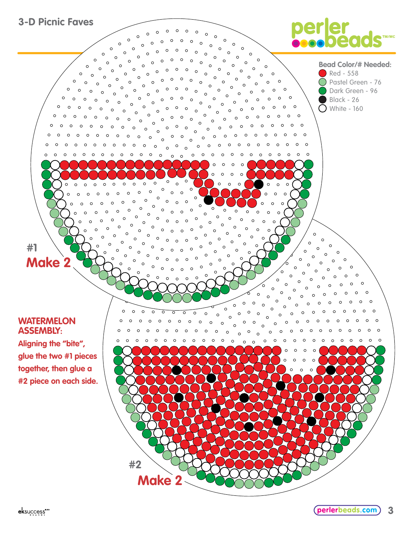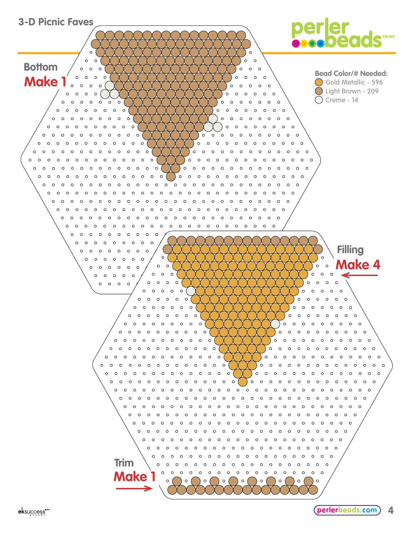

eksuccess\*\*\*